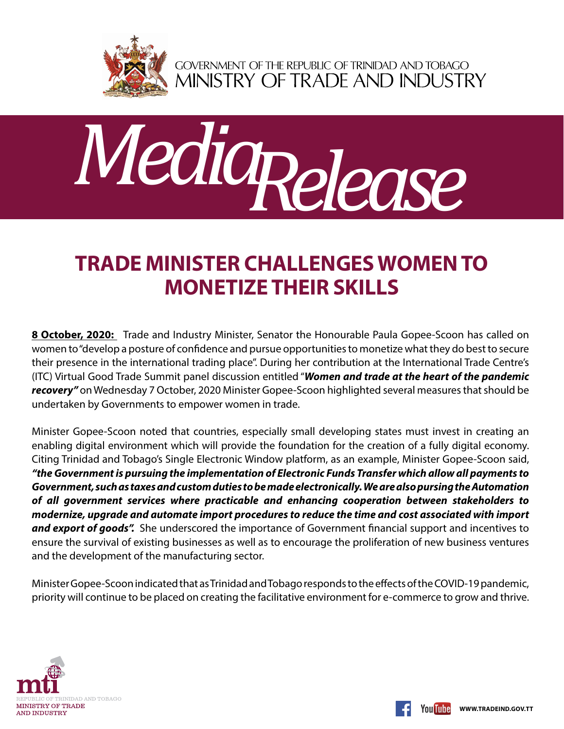

GOVERNMENT OF THE REPUBLIC OF TRINIDAD AND TOBAGO<br>MINISTRY OF TRADE AND INDUSTRY



## **Trade Minister challenges women to monetize their skills**

**8 October, 2020:** Trade and Industry Minister, Senator the Honourable Paula Gopee-Scoon has called on women to "develop a posture of confidence and pursue opportunities to monetize what they do best to secure their presence in the international trading place". During her contribution at the International Trade Centre's (ITC) Virtual Good Trade Summit panel discussion entitled "*Women and trade at the heart of the pandemic recovery"* on Wednesday 7 October, 2020 Minister Gopee-Scoon highlighted several measures that should be undertaken by Governments to empower women in trade.

Minister Gopee-Scoon noted that countries, especially small developing states must invest in creating an enabling digital environment which will provide the foundation for the creation of a fully digital economy. Citing Trinidad and Tobago's Single Electronic Window platform, as an example, Minister Gopee-Scoon said, *"the Government is pursuing the implementation of Electronic Funds Transfer which allow all payments to Government, such as taxes and custom duties to be made electronically. We are also pursing the Automation of all government services where practicable and enhancing cooperation between stakeholders to modernize, upgrade and automate import procedures to reduce the time and cost associated with import and export of goods".* She underscored the importance of Government financial support and incentives to ensure the survival of existing businesses as well as to encourage the proliferation of new business ventures and the development of the manufacturing sector.

Minister Gopee-Scoon indicated that as Trinidad and Tobago responds to the effects of the COVID-19 pandemic, priority will continue to be placed on creating the facilitative environment for e-commerce to grow and thrive.